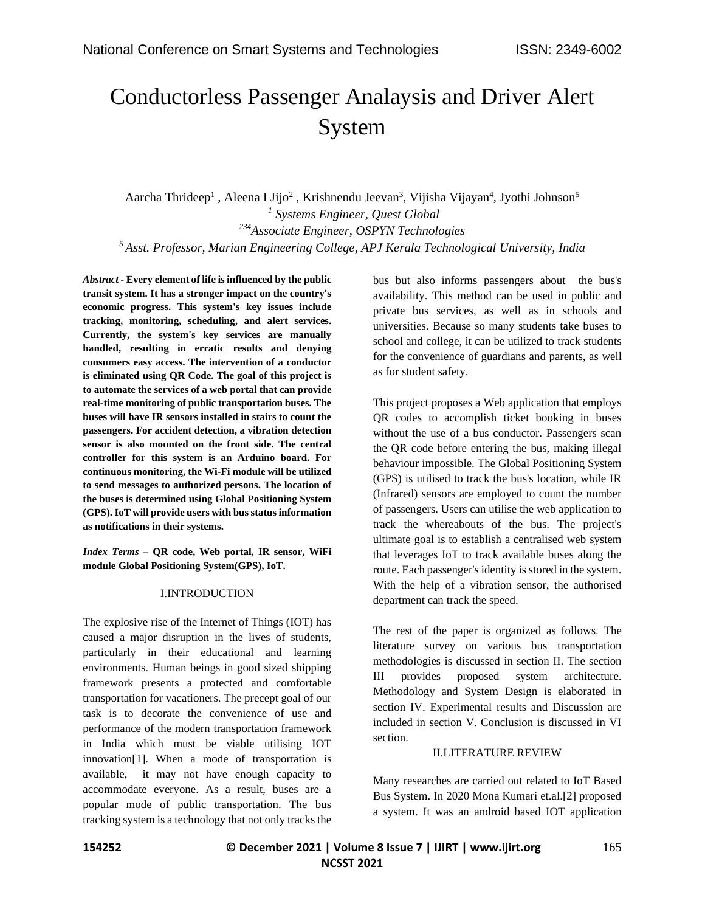# Conductorless Passenger Analaysis and Driver Alert System

Aarcha Thrideep<sup>1</sup>, Aleena I Jijo<sup>2</sup>, Krishnendu Jeevan<sup>3</sup>, Vijisha Vijayan<sup>4</sup>, Jyothi Johnson<sup>5</sup> *Systems Engineer, Quest Global Associate Engineer, OSPYN Technologies Asst. Professor, Marian Engineering College, APJ Kerala Technological University, India*

*Abstract -* **Every element of life is influenced by the public transit system. It has a stronger impact on the country's economic progress. This system's key issues include tracking, monitoring, scheduling, and alert services. Currently, the system's key services are manually handled, resulting in erratic results and denying consumers easy access. The intervention of a conductor is eliminated using QR Code. The goal of this project is to automate the services of a web portal that can provide real-time monitoring of public transportation buses. The buses will have IR sensors installed in stairs to count the passengers. For accident detection, a vibration detection sensor is also mounted on the front side. The central controller for this system is an Arduino board. For continuous monitoring, the Wi-Fi module will be utilized to send messages to authorized persons. The location of the buses is determined using Global Positioning System (GPS). IoT will provide users with bus status information as notifications in their systems.**

*Index Terms –* **QR code, Web portal, IR sensor, WiFi module Global Positioning System(GPS), IoT.**

#### I.INTRODUCTION

The explosive rise of the Internet of Things (IOT) has caused a major disruption in the lives of students, particularly in their educational and learning environments. Human beings in good sized shipping framework presents a protected and comfortable transportation for vacationers. The precept goal of our task is to decorate the convenience of use and performance of the modern transportation framework in India which must be viable utilising IOT innovation[1]. When a mode of transportation is available, it may not have enough capacity to accommodate everyone. As a result, buses are a popular mode of public transportation. The bus tracking system is a technology that not only tracks the bus but also informs passengers about the bus's availability. This method can be used in public and private bus services, as well as in schools and universities. Because so many students take buses to school and college, it can be utilized to track students for the convenience of guardians and parents, as well as for student safety.

This project proposes a Web application that employs QR codes to accomplish ticket booking in buses without the use of a bus conductor. Passengers scan the QR code before entering the bus, making illegal behaviour impossible. The Global Positioning System (GPS) is utilised to track the bus's location, while IR (Infrared) sensors are employed to count the number of passengers. Users can utilise the web application to track the whereabouts of the bus. The project's ultimate goal is to establish a centralised web system that leverages IoT to track available buses along the route. Each passenger's identity is stored in the system. With the help of a vibration sensor, the authorised department can track the speed.

The rest of the paper is organized as follows. The literature survey on various bus transportation methodologies is discussed in section II. The section III provides proposed system architecture. Methodology and System Design is elaborated in section IV. Experimental results and Discussion are included in section V. Conclusion is discussed in VI section.

#### II.LITERATURE REVIEW

Many researches are carried out related to IoT Based Bus System. In 2020 Mona Kumari et.al.[2] proposed a system. It was an android based IOT application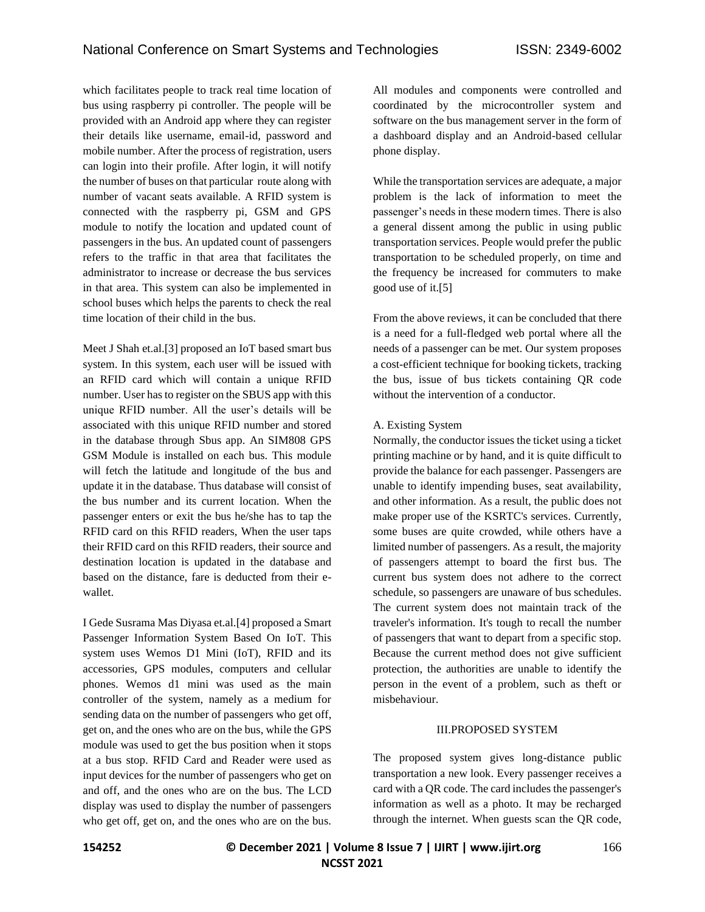which facilitates people to track real time location of bus using raspberry pi controller. The people will be provided with an Android app where they can register their details like username, email-id, password and mobile number. After the process of registration, users can login into their profile. After login, it will notify the number of buses on that particular route along with number of vacant seats available. A RFID system is connected with the raspberry pi, GSM and GPS module to notify the location and updated count of passengers in the bus. An updated count of passengers refers to the traffic in that area that facilitates the administrator to increase or decrease the bus services in that area. This system can also be implemented in school buses which helps the parents to check the real time location of their child in the bus.

Meet J Shah et.al.[3] proposed an IoT based smart bus system. In this system, each user will be issued with an RFID card which will contain a unique RFID number. User has to register on the SBUS app with this unique RFID number. All the user's details will be associated with this unique RFID number and stored in the database through Sbus app. An SIM808 GPS GSM Module is installed on each bus. This module will fetch the latitude and longitude of the bus and update it in the database. Thus database will consist of the bus number and its current location. When the passenger enters or exit the bus he/she has to tap the RFID card on this RFID readers, When the user taps their RFID card on this RFID readers, their source and destination location is updated in the database and based on the distance, fare is deducted from their ewallet.

I Gede Susrama Mas Diyasa et.al.[4] proposed a Smart Passenger Information System Based On IoT. This system uses Wemos D1 Mini (IoT), RFID and its accessories, GPS modules, computers and cellular phones. Wemos d1 mini was used as the main controller of the system, namely as a medium for sending data on the number of passengers who get off, get on, and the ones who are on the bus, while the GPS module was used to get the bus position when it stops at a bus stop. RFID Card and Reader were used as input devices for the number of passengers who get on and off, and the ones who are on the bus. The LCD display was used to display the number of passengers who get off, get on, and the ones who are on the bus. All modules and components were controlled and coordinated by the microcontroller system and software on the bus management server in the form of a dashboard display and an Android-based cellular phone display.

While the transportation services are adequate, a major problem is the lack of information to meet the passenger's needs in these modern times. There is also a general dissent among the public in using public transportation services. People would prefer the public transportation to be scheduled properly, on time and the frequency be increased for commuters to make good use of it.[5]

From the above reviews, it can be concluded that there is a need for a full-fledged web portal where all the needs of a passenger can be met. Our system proposes a cost-efficient technique for booking tickets, tracking the bus, issue of bus tickets containing QR code without the intervention of a conductor.

# A. Existing System

Normally, the conductor issues the ticket using a ticket printing machine or by hand, and it is quite difficult to provide the balance for each passenger. Passengers are unable to identify impending buses, seat availability, and other information. As a result, the public does not make proper use of the KSRTC's services. Currently, some buses are quite crowded, while others have a limited number of passengers. As a result, the majority of passengers attempt to board the first bus. The current bus system does not adhere to the correct schedule, so passengers are unaware of bus schedules. The current system does not maintain track of the traveler's information. It's tough to recall the number of passengers that want to depart from a specific stop. Because the current method does not give sufficient protection, the authorities are unable to identify the person in the event of a problem, such as theft or misbehaviour.

#### III.PROPOSED SYSTEM

The proposed system gives long-distance public transportation a new look. Every passenger receives a card with a QR code. The card includes the passenger's information as well as a photo. It may be recharged through the internet. When guests scan the QR code,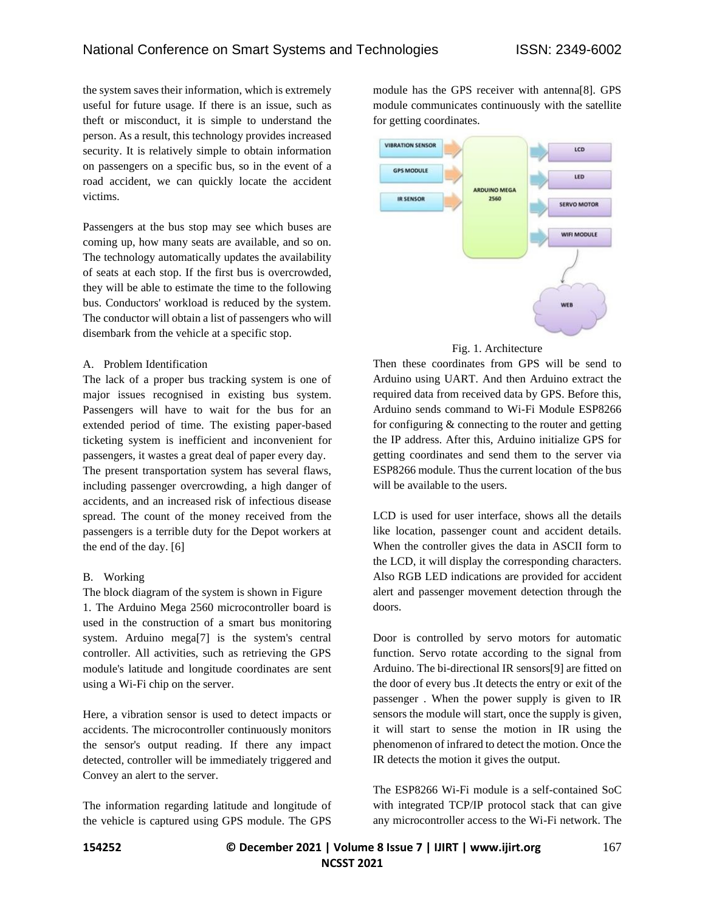the system saves their information, which is extremely useful for future usage. If there is an issue, such as theft or misconduct, it is simple to understand the person. As a result, this technology provides increased security. It is relatively simple to obtain information on passengers on a specific bus, so in the event of a road accident, we can quickly locate the accident victims.

Passengers at the bus stop may see which buses are coming up, how many seats are available, and so on. The technology automatically updates the availability of seats at each stop. If the first bus is overcrowded, they will be able to estimate the time to the following bus. Conductors' workload is reduced by the system. The conductor will obtain a list of passengers who will disembark from the vehicle at a specific stop.

#### A. Problem Identification

The lack of a proper bus tracking system is one of major issues recognised in existing bus system. Passengers will have to wait for the bus for an extended period of time. The existing paper-based ticketing system is inefficient and inconvenient for passengers, it wastes a great deal of paper every day. The present transportation system has several flaws,

including passenger overcrowding, a high danger of accidents, and an increased risk of infectious disease spread. The count of the money received from the passengers is a terrible duty for the Depot workers at the end of the day. [6]

# B. Working

The block diagram of the system is shown in Figure 1. The Arduino Mega 2560 microcontroller board is used in the construction of a smart bus monitoring system. Arduino mega[7] is the system's central controller. All activities, such as retrieving the GPS module's latitude and longitude coordinates are sent using a Wi-Fi chip on the server.

Here, a vibration sensor is used to detect impacts or accidents. The microcontroller continuously monitors the sensor's output reading. If there any impact detected, controller will be immediately triggered and Convey an alert to the server.

The information regarding latitude and longitude of the vehicle is captured using GPS module. The GPS module has the GPS receiver with antenna[8]. GPS module communicates continuously with the satellite for getting coordinates.





Then these coordinates from GPS will be send to Arduino using UART. And then Arduino extract the required data from received data by GPS. Before this, Arduino sends command to Wi-Fi Module ESP8266 for configuring & connecting to the router and getting the IP address. After this, Arduino initialize GPS for getting coordinates and send them to the server via ESP8266 module. Thus the current location of the bus will be available to the users.

LCD is used for user interface, shows all the details like location, passenger count and accident details. When the controller gives the data in ASCII form to the LCD, it will display the corresponding characters. Also RGB LED indications are provided for accident alert and passenger movement detection through the doors.

Door is controlled by servo motors for automatic function. Servo rotate according to the signal from Arduino. The bi-directional IR sensors[9] are fitted on the door of every bus .It detects the entry or exit of the passenger . When the power supply is given to IR sensors the module will start, once the supply is given, it will start to sense the motion in IR using the phenomenon of infrared to detect the motion. Once the IR detects the motion it gives the output.

The ESP8266 Wi-Fi module is a self-contained SoC with integrated TCP/IP protocol stack that can give any microcontroller access to the Wi-Fi network. The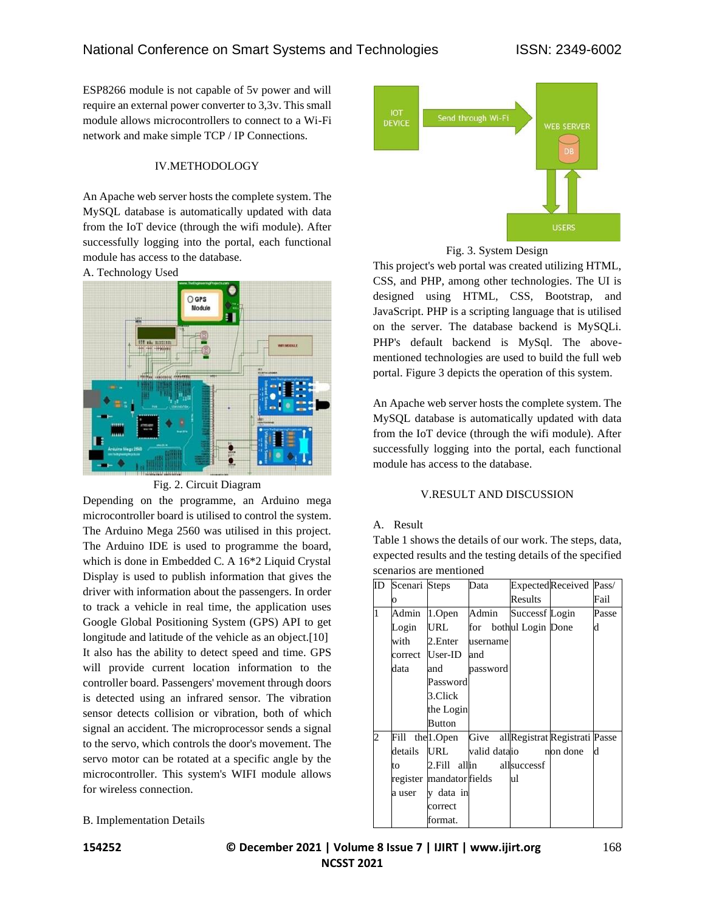ESP8266 module is not capable of 5v power and will require an external power converter to 3,3v. This small module allows microcontrollers to connect to a Wi-Fi network and make simple TCP / IP Connections.

#### IV.METHODOLOGY

An Apache web server hosts the complete system. The MySQL database is automatically updated with data from the IoT device (through the wifi module). After successfully logging into the portal, each functional module has access to the database.





Fig. 2. Circuit Diagram

Depending on the programme, an Arduino mega microcontroller board is utilised to control the system. The Arduino Mega 2560 was utilised in this project. The Arduino IDE is used to programme the board, which is done in Embedded C. A 16\*2 Liquid Crystal Display is used to publish information that gives the driver with information about the passengers. In order to track a vehicle in real time, the application uses Google Global Positioning System (GPS) API to get longitude and latitude of the vehicle as an object.<sup>[10]</sup> It also has the ability to detect speed and time. GPS will provide current location information to the controller board. Passengers' movement through doors is detected using an infrared sensor. The vibration sensor detects collision or vibration, both of which signal an accident. The microprocessor sends a signal to the servo, which controls the door's movement. The servo motor can be rotated at a specific angle by the microcontroller. This system's WIFI module allows for wireless connection.

# B. Implementation Details





This project's web portal was created utilizing HTML, CSS, and PHP, among other technologies. The UI is designed using HTML, CSS, Bootstrap, and JavaScript. PHP is a scripting language that is utilised on the server. The database backend is MySQLi. PHP's default backend is MySql. The abovementioned technologies are used to build the full web portal. Figure 3 depicts the operation of this system.

An Apache web server hosts the complete system. The MySQL database is automatically updated with data from the IoT device (through the wifi module). After successfully logging into the portal, each functional module has access to the database.

# V.RESULT AND DISCUSSION

#### A. Result

Table 1 shows the details of our work. The steps, data, expected results and the testing details of the specified scenarios are mentioned

| ID             | Scenari Steps |                          | Data                       |                | ExpectedReceived Pass/                          |       |
|----------------|---------------|--------------------------|----------------------------|----------------|-------------------------------------------------|-------|
|                | Ō             |                          |                            | Results        |                                                 | Fail  |
| $\overline{1}$ | Admin         | 1.Open                   | Admin                      | Successf Login |                                                 | Passe |
|                | Login         | URL                      | for bothul Login Done      |                |                                                 | d     |
|                | with          | 2.Enter                  | username                   |                |                                                 |       |
|                |               | correct User-ID          | and                        |                |                                                 |       |
|                | data          | and                      | password                   |                |                                                 |       |
|                |               | Password                 |                            |                |                                                 |       |
|                |               | 3.Click                  |                            |                |                                                 |       |
|                |               | the Login                |                            |                |                                                 |       |
|                |               | <b>Button</b>            |                            |                |                                                 |       |
| $\overline{c}$ | Fill          |                          |                            |                | thell. Open Give all Registrat Registrati Passe |       |
|                | details       |                          | URL valid data io non done |                |                                                 | d     |
|                | to            |                          | 2. Fill allin allsuccessf  |                |                                                 |       |
|                |               | register mandator fields |                            | և1             |                                                 |       |
|                | a user        | v data in                |                            |                |                                                 |       |
|                |               | correct                  |                            |                |                                                 |       |
|                |               | format.                  |                            |                |                                                 |       |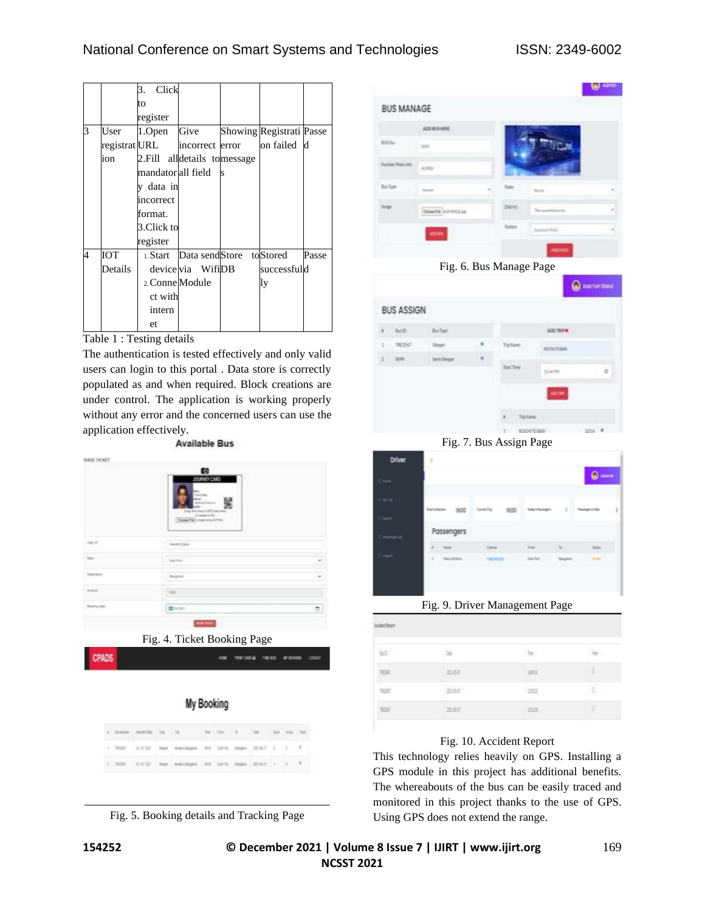# National Conference on Smart Systems and Technologies ISSN: 2349-6002

|   |               | Click<br>3.                   |                         |   |                          |       |
|---|---------------|-------------------------------|-------------------------|---|--------------------------|-------|
|   |               | to                            |                         |   |                          |       |
|   |               |                               |                         |   |                          |       |
|   |               | register                      |                         |   |                          |       |
| 3 | User          | 1.Open                        | Give                    |   | Showing Registrati Passe |       |
|   | registrat URL |                               | incorrect error         |   | on failed                | d     |
|   | ion           | 2. Fill alldetails to message |                         |   |                          |       |
|   |               | mandator all field            |                         | S |                          |       |
|   |               | v data in                     |                         |   |                          |       |
|   |               | incorrect                     |                         |   |                          |       |
|   |               | format.                       |                         |   |                          |       |
|   |               | 3.Click to                    |                         |   |                          |       |
|   |               | register                      |                         |   |                          |       |
| 4 | ЮT            |                               | 1. Start Data sendStore |   | toStored                 | Passe |
|   | Details       |                               | device via WifiDB       |   | successfuld              |       |
|   |               | 2. Conne Module               |                         |   | ly                       |       |
|   |               | ct with                       |                         |   |                          |       |
|   |               | intern                        |                         |   |                          |       |
|   |               | et.                           |                         |   |                          |       |

Table 1 : Testing details

The authentication is tested effectively and only valid users can login to this portal . Data store is correctly populated as and when required. Block creations are under control. The application is working properly without any error and the concerned users can use the application effectively.<br>Available Bus

|             | 鹤<br>JORIE! CAR<br><b>WIND</b><br><b>Kankrates</b>                                                                                |     |
|-------------|-----------------------------------------------------------------------------------------------------------------------------------|-----|
| -me to      | 矍<br><b>Rendell'America</b><br>that will don't be lift come have<br>Constantial Pak<br>Department and intell<br><b>Electronic</b> |     |
| <b>Fig.</b> | barter.                                                                                                                           |     |
| Charleston, | <b>Depine</b>                                                                                                                     |     |
| 1 month     | $=$                                                                                                                               |     |
|             | <b>D</b> ysen                                                                                                                     | 10. |

Fig. 4. Ticket Booking Page

natologi ness was

| My Booking |  |  |  |
|------------|--|--|--|
|            |  |  |  |
|            |  |  |  |
|            |  |  |  |

|  |  | a buturn turned by Top The first To Tue Is to Tue        |  |  |  |  |
|--|--|----------------------------------------------------------|--|--|--|--|
|  |  | 1 TEST KITCO Sept exactlepts did belo began 2018/7 2 1 F |  |  |  |  |
|  |  | 1 ROW KILDT Sept exactlepts did bank bepas 20-8-1 1 1 F  |  |  |  |  |

Fig. 5. Booking details and Tracking Page



Fig. 6. Bus Manage Page

| <b>BUS ASSIGN</b> |                  |           |                          |                  |             |
|-------------------|------------------|-----------|--------------------------|------------------|-------------|
| 8.500             | <b>Ballet</b>    |           |                          | ADD TRIP 46      |             |
| 1 9097            | Seper :          |           | Totale                   | <b>ICO4T0SAS</b> |             |
| 2 309             | <b>Seni Sepe</b> | $\bullet$ | Suction .                |                  |             |
|                   |                  |           |                          | 23.00 TM         | ä           |
|                   |                  |           |                          | ADDITION         |             |
|                   |                  |           | $\mathbf{A}$<br>Tipliane |                  |             |
|                   |                  |           | <b>WO</b><br>KONTORIO    |                  | $-2044 - 4$ |

Fig. 7. Bus Assign Page

| Driver      | ×          |            |            |         |          |              |               |              |   |
|-------------|------------|------------|------------|---------|----------|--------------|---------------|--------------|---|
| <b>Kara</b> |            |            |            |         |          |              |               | தொட          |   |
| <b>WTE</b>  | Institutes |            | 1600       | Grechy  | 1600     | Telephoneges | n             | Peoppointe   | L |
| lique       |            |            |            |         |          |              |               |              |   |
| tomprint    |            |            | Passengers |         |          |              |               |              |   |
|             | $\bar{z}$  | <b>New</b> |            | Cartact |          | Sun.         | $\mathbb{R}$  | Soto:        |   |
| ingest      | ×          |            | Haru/Ehlma |         | 74945125 | Server.      | <b>Sepire</b> | <b>Index</b> |   |
|             |            |            |            |         |          |              |               |              |   |
|             |            |            |            |         |          |              |               |              |   |
|             |            |            |            |         |          |              |               |              |   |

Fig. 9. Driver Management Page

| <b>Joine Rept</b>   |         |                      |        |
|---------------------|---------|----------------------|--------|
| $\approx$           | te<br>œ | $\sim$               | $\sim$ |
| <b>ROO</b>          | 3350    | 303                  | ı      |
| $\overline{\rm MS}$ | mer     | <b>BASKE</b><br>-293 | Ŧ      |
| <b>RSP</b>          | 3350    | <b>DRE</b>           | ı      |

# Fig. 10. Accident Report

This technology relies heavily on GPS. Installing a GPS module in this project has additional benefits. The whereabouts of the bus can be easily traced and monitored in this project thanks to the use of GPS. Using GPS does not extend the range.

CPADS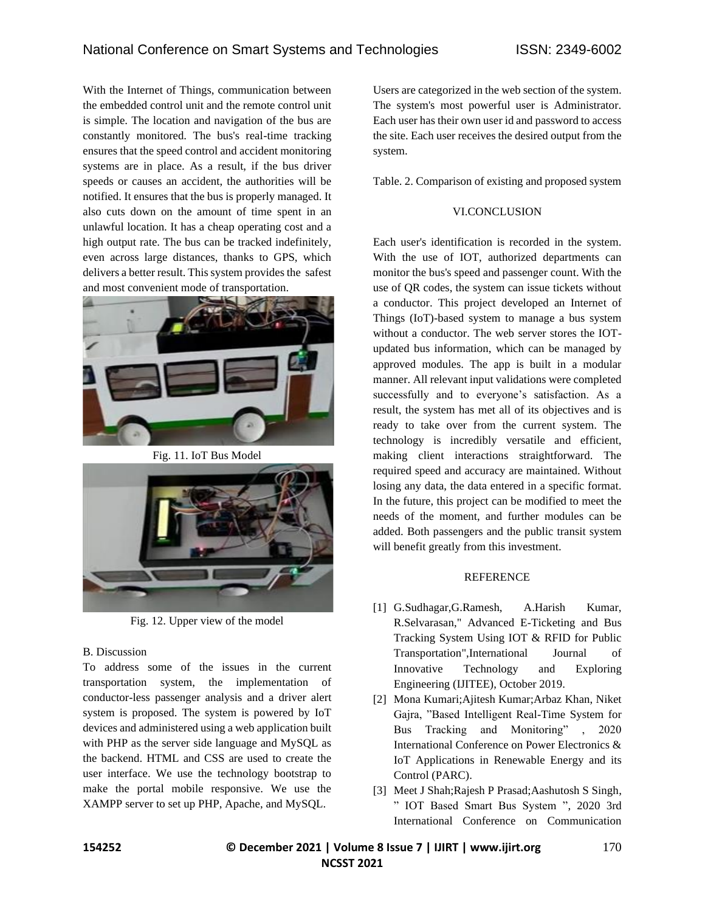With the Internet of Things, communication between the embedded control unit and the remote control unit is simple. The location and navigation of the bus are constantly monitored. The bus's real-time tracking ensures that the speed control and accident monitoring systems are in place. As a result, if the bus driver speeds or causes an accident, the authorities will be notified. It ensures that the bus is properly managed. It also cuts down on the amount of time spent in an unlawful location. It has a cheap operating cost and a high output rate. The bus can be tracked indefinitely, even across large distances, thanks to GPS, which delivers a better result. This system provides the safest and most convenient mode of transportation.



Fig. 11. IoT Bus Model



Fig. 12. Upper view of the model

# B. Discussion

To address some of the issues in the current transportation system, the implementation of conductor-less passenger analysis and a driver alert system is proposed. The system is powered by IoT devices and administered using a web application built with PHP as the server side language and MySQL as the backend. HTML and CSS are used to create the user interface. We use the technology bootstrap to make the portal mobile responsive. We use the XAMPP server to set up PHP, Apache, and MySQL.

Users are categorized in the web section of the system. The system's most powerful user is Administrator. Each user has their own user id and password to access the site. Each user receives the desired output from the system.

Table. 2. Comparison of existing and proposed system

# VI.CONCLUSION

Each user's identification is recorded in the system. With the use of IOT, authorized departments can monitor the bus's speed and passenger count. With the use of QR codes, the system can issue tickets without a conductor. This project developed an Internet of Things (IoT)-based system to manage a bus system without a conductor. The web server stores the IOTupdated bus information, which can be managed by approved modules. The app is built in a modular manner. All relevant input validations were completed successfully and to everyone's satisfaction. As a result, the system has met all of its objectives and is ready to take over from the current system. The technology is incredibly versatile and efficient, making client interactions straightforward. The required speed and accuracy are maintained. Without losing any data, the data entered in a specific format. In the future, this project can be modified to meet the needs of the moment, and further modules can be added. Both passengers and the public transit system will benefit greatly from this investment.

# REFERENCE

- [1] G.Sudhagar,G.Ramesh, A.Harish Kumar, R.Selvarasan," Advanced E-Ticketing and Bus Tracking System Using IOT & RFID for Public Transportation",International Journal of Innovative Technology and Exploring Engineering (IJITEE), October 2019.
- [2] Mona Kumari;Ajitesh Kumar;Arbaz Khan, Niket Gajra, "Based Intelligent Real-Time System for Bus Tracking and Monitoring" , 2020 International Conference on Power Electronics & IoT Applications in Renewable Energy and its Control (PARC).
- [3] Meet J Shah;Rajesh P Prasad;Aashutosh S Singh, " IOT Based Smart Bus System ", 2020 3rd International Conference on Communication